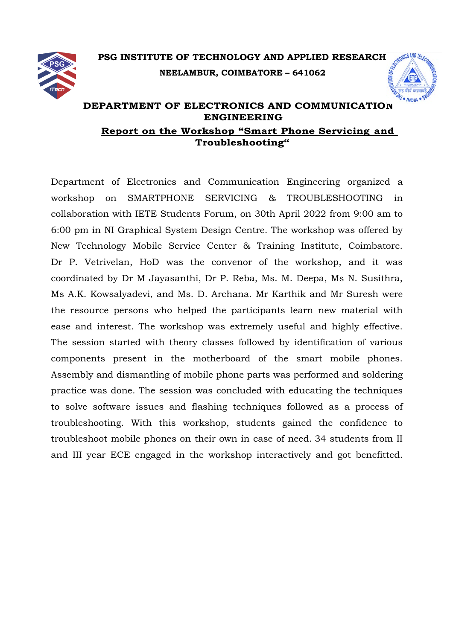

## **PSG INSTITUTE OF TECHNOLOGY AND APPLIED RESEARCH NEELAMBUR, COIMBATORE – 641062**



## **DEPARTMENT OF ELECTRONICS AND COMMUNICATION ENGINEERING Report on the Workshop "Smart Phone Servicing and Troubleshooting"**

Department of Electronics and Communication Engineering organized a workshop on SMARTPHONE SERVICING & TROUBLESHOOTING in collaboration with IETE Students Forum, on 30th April 2022 from 9:00 am to 6:00 pm in NI Graphical System Design Centre. The workshop was offered by New Technology Mobile Service Center & Training Institute, Coimbatore. Dr P. Vetrivelan, HoD was the convenor of the workshop, and it was coordinated by Dr M Jayasanthi, Dr P. Reba, Ms. M. Deepa, Ms N. Susithra, Ms A.K. Kowsalyadevi, and Ms. D. Archana. Mr Karthik and Mr Suresh were the resource persons who helped the participants learn new material with ease and interest. The workshop was extremely useful and highly effective. The session started with theory classes followed by identification of various components present in the motherboard of the smart mobile phones. Assembly and dismantling of mobile phone parts was performed and soldering practice was done. The session was concluded with educating the techniques to solve software issues and flashing techniques followed as a process of troubleshooting. With this workshop, students gained the confidence to troubleshoot mobile phones on their own in case of need. 34 students from II and III year ECE engaged in the workshop interactively and got benefitted.